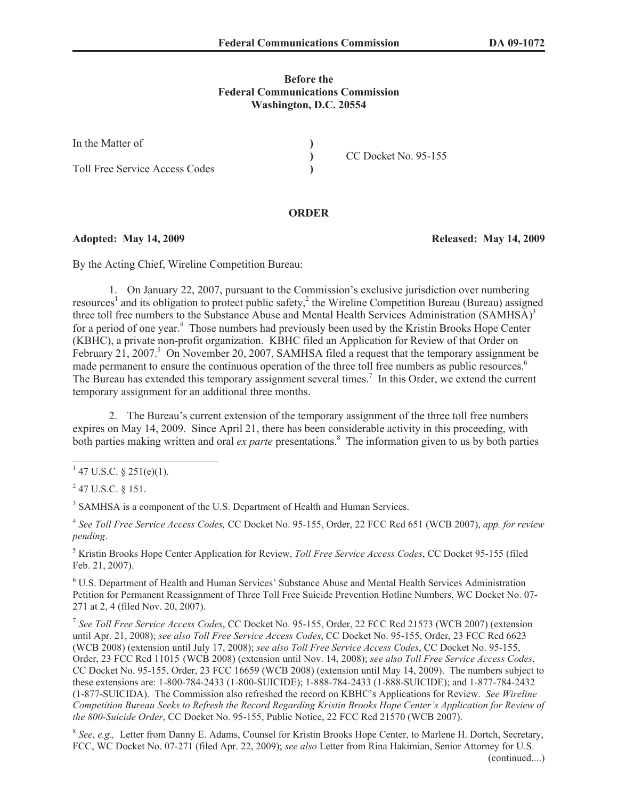## **Before the Federal Communications Commission Washington, D.C. 20554**

| In the Matter of                      |                      |
|---------------------------------------|----------------------|
|                                       | CC Docket No. 95-155 |
| <b>Toll Free Service Access Codes</b> |                      |

## **ORDER**

## **Adopted: May 14, 2009 Released: May 14, 2009**

By the Acting Chief, Wireline Competition Bureau:

1. On January 22, 2007, pursuant to the Commission's exclusive jurisdiction over numbering resources<sup>1</sup> and its obligation to protect public safety,<sup>2</sup> the Wireline Competition Bureau (Bureau) assigned three toll free numbers to the Substance Abuse and Mental Health Services Administration (SAMHSA)<sup>3</sup> for a period of one year.<sup>4</sup> Those numbers had previously been used by the Kristin Brooks Hope Center (KBHC), a private non-profit organization. KBHC filed an Application for Review of that Order on February 21, 2007.<sup>5</sup> On November 20, 2007, SAMHSA filed a request that the temporary assignment be made permanent to ensure the continuous operation of the three toll free numbers as public resources.<sup>6</sup> The Bureau has extended this temporary assignment several times.<sup>7</sup> In this Order, we extend the current temporary assignment for an additional three months.

2. The Bureau's current extension of the temporary assignment of the three toll free numbers expires on May 14, 2009. Since April 21, there has been considerable activity in this proceeding, with both parties making written and oral *ex parte* presentations.<sup>8</sup> The information given to us by both parties

<sup>3</sup> SAMHSA is a component of the U.S. Department of Health and Human Services.

4 *See Toll Free Service Access Codes,* CC Docket No. 95-155, Order, 22 FCC Rcd 651 (WCB 2007), *app. for review pending*.

<sup>5</sup> Kristin Brooks Hope Center Application for Review, *Toll Free Service Access Codes*, CC Docket 95-155 (filed Feb. 21, 2007).

<sup>6</sup> U.S. Department of Health and Human Services' Substance Abuse and Mental Health Services Administration Petition for Permanent Reassignment of Three Toll Free Suicide Prevention Hotline Numbers, WC Docket No. 07- 271 at 2, 4 (filed Nov. 20, 2007).

7 *See Toll Free Service Access Codes*, CC Docket No. 95-155, Order, 22 FCC Rcd 21573 (WCB 2007) (extension until Apr. 21, 2008); *see also Toll Free Service Access Codes*, CC Docket No. 95-155, Order, 23 FCC Rcd 6623 (WCB 2008) (extension until July 17, 2008); *see also Toll Free Service Access Codes*, CC Docket No. 95-155, Order, 23 FCC Rcd 11015 (WCB 2008) (extension until Nov. 14, 2008); *see also Toll Free Service Access Codes*, CC Docket No. 95-155, Order, 23 FCC 16659 (WCB 2008) (extension until May 14, 2009). The numbers subject to these extensions are: 1-800-784-2433 (1-800-SUICIDE); 1-888-784-2433 (1-888-SUICIDE); and 1-877-784-2432 (1-877-SUICIDA). The Commission also refreshed the record on KBHC's Applications for Review. *See Wireline Competition Bureau Seeks to Refresh the Record Regarding Kristin Brooks Hope Center's Application for Review of the 800-Suicide Order*, CC Docket No. 95-155, Public Notice, 22 FCC Rcd 21570 (WCB 2007).

8 *See*, *e.g.,* Letter from Danny E. Adams, Counsel for Kristin Brooks Hope Center, to Marlene H. Dortch, Secretary, FCC, WC Docket No. 07-271 (filed Apr. 22, 2009); *see also* Letter from Rina Hakimian, Senior Attorney for U.S.

 $1$  47 U.S.C. § 251(e)(1).

 $^{2}$  47 U.S.C. § 151.